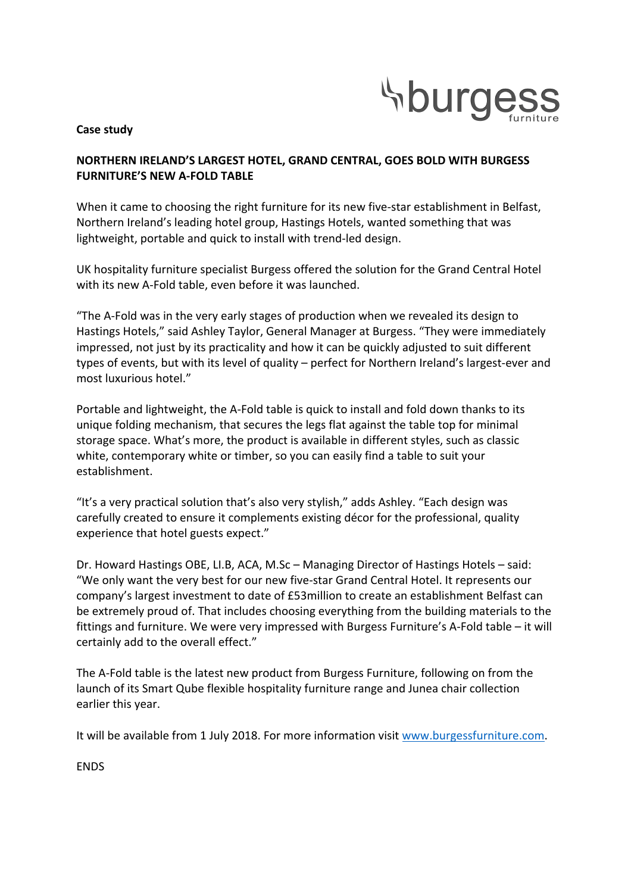

### **Case study**

# **NORTHERN IRELAND'S LARGEST HOTEL, GRAND CENTRAL, GOES BOLD WITH BURGESS FURNITURE'S NEW A-FOLD TABLE**

When it came to choosing the right furniture for its new five-star establishment in Belfast, Northern Ireland's leading hotel group, Hastings Hotels, wanted something that was lightweight, portable and quick to install with trend-led design.

UK hospitality furniture specialist Burgess offered the solution for the Grand Central Hotel with its new A-Fold table, even before it was launched.

"The A-Fold was in the very early stages of production when we revealed its design to Hastings Hotels," said Ashley Taylor, General Manager at Burgess. "They were immediately impressed, not just by its practicality and how it can be quickly adjusted to suit different types of events, but with its level of quality – perfect for Northern Ireland's largest-ever and most luxurious hotel."

Portable and lightweight, the A-Fold table is quick to install and fold down thanks to its unique folding mechanism, that secures the legs flat against the table top for minimal storage space. What's more, the product is available in different styles, such as classic white, contemporary white or timber, so you can easily find a table to suit your establishment.

"It's a very practical solution that's also very stylish," adds Ashley. "Each design was carefully created to ensure it complements existing décor for the professional, quality experience that hotel guests expect."

Dr. Howard Hastings OBE, LI.B, ACA, M.Sc - Managing Director of Hastings Hotels - said: "We only want the very best for our new five-star Grand Central Hotel. It represents our company's largest investment to date of £53million to create an establishment Belfast can be extremely proud of. That includes choosing everything from the building materials to the fittings and furniture. We were very impressed with Burgess Furniture's A-Fold table – it will certainly add to the overall effect."

The A-Fold table is the latest new product from Burgess Furniture, following on from the launch of its Smart Qube flexible hospitality furniture range and Junea chair collection earlier this year.

It will be available from 1 July 2018. For more information visit www.burgessfurniture.com.

ENDS